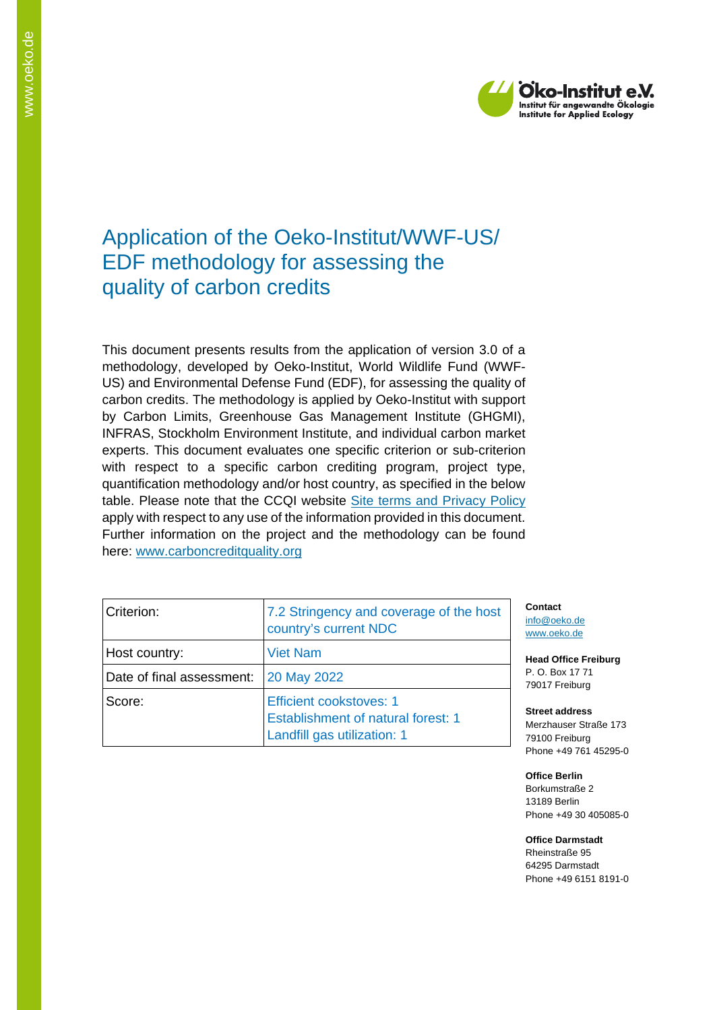

## Application of the Oeko-Institut/WWF-US/ EDF methodology for assessing the quality of carbon credits

This document presents results from the application of version 3.0 of a methodology, developed by Oeko-Institut, World Wildlife Fund (WWF-US) and Environmental Defense Fund (EDF), for assessing the quality of carbon credits. The methodology is applied by Oeko-Institut with support by Carbon Limits, Greenhouse Gas Management Institute (GHGMI), INFRAS, Stockholm Environment Institute, and individual carbon market experts. This document evaluates one specific criterion or sub-criterion with respect to a specific carbon crediting program, project type, quantification methodology and/or host country, as specified in the below table. Please note that the CCQI website [Site terms and Privacy Policy](https://carboncreditquality.org/terms.html) apply with respect to any use of the information provided in this document. Further information on the project and the methodology can be found here: [www.carboncreditquality.org](http://www.carboncreditquality.org/)

| Criterion:                | 7.2 Stringency and coverage of the host<br>country's current NDC                                           |
|---------------------------|------------------------------------------------------------------------------------------------------------|
| Host country:             | <b>Viet Nam</b>                                                                                            |
| Date of final assessment: | <b>20 May 2022</b>                                                                                         |
| Score:                    | <b>Efficient cookstoves: 1</b><br><b>Establishment of natural forest: 1</b><br>Landfill gas utilization: 1 |

**Contact** [info@oeko.de](mailto:info@oeko.de) [www.oeko.de](http://www.oeko.de/)

**Head Office Freiburg** P. O. Box 17 71 79017 Freiburg

**Street address** Merzhauser Straße 173 79100 Freiburg Phone +49 761 45295-0

**Office Berlin** Borkumstraße 2 13189 Berlin Phone +49 30 405085-0

**Office Darmstadt** Rheinstraße 95 64295 Darmstadt Phone +49 6151 8191-0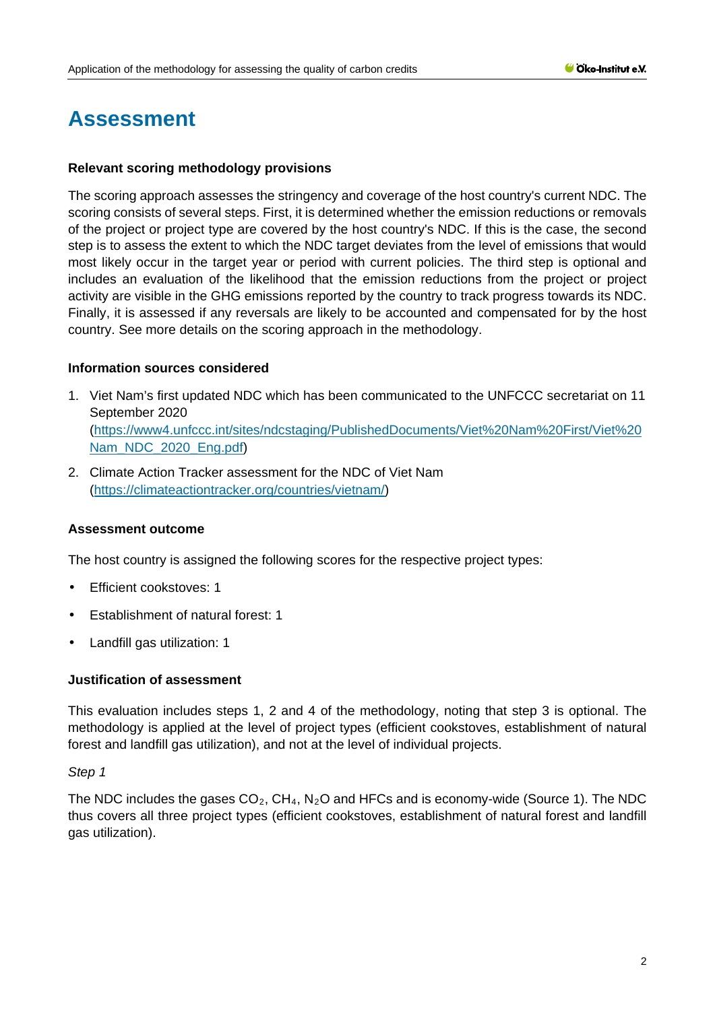# **Assessment**

#### **Relevant scoring methodology provisions**

The scoring approach assesses the stringency and coverage of the host country's current NDC. The scoring consists of several steps. First, it is determined whether the emission reductions or removals of the project or project type are covered by the host country's NDC. If this is the case, the second step is to assess the extent to which the NDC target deviates from the level of emissions that would most likely occur in the target year or period with current policies. The third step is optional and includes an evaluation of the likelihood that the emission reductions from the project or project activity are visible in the GHG emissions reported by the country to track progress towards its NDC. Finally, it is assessed if any reversals are likely to be accounted and compensated for by the host country. See more details on the scoring approach in the methodology.

#### **Information sources considered**

- 1. Viet Nam's first updated NDC which has been communicated to the UNFCCC secretariat on 11 September 2020 [\(https://www4.unfccc.int/sites/ndcstaging/PublishedDocuments/Viet%20Nam%20First/Viet%20](https://www4.unfccc.int/sites/ndcstaging/PublishedDocuments/Viet%20Nam%20First/Viet%20Nam_NDC_2020_Eng.pdf) [Nam\\_NDC\\_2020\\_Eng.pdf\)](https://www4.unfccc.int/sites/ndcstaging/PublishedDocuments/Viet%20Nam%20First/Viet%20Nam_NDC_2020_Eng.pdf)
- 2. Climate Action Tracker assessment for the NDC of Viet Nam [\(https://climateactiontracker.org/countries/vietnam/\)](https://climateactiontracker.org/countries/vietnam/)

## **Assessment outcome**

The host country is assigned the following scores for the respective project types:

- t. Efficient cookstoves: 1
- Establishment of natural forest: 1
- Landfill gas utilization: 1

#### **Justification of assessment**

This evaluation includes steps 1, 2 and 4 of the methodology, noting that step 3 is optional. The methodology is applied at the level of project types (efficient cookstoves, establishment of natural forest and landfill gas utilization), and not at the level of individual projects.

#### *Step 1*

The NDC includes the gases  $CO_2$ ,  $CH_4$ ,  $N_2O$  and HFCs and is economy-wide (Source 1). The NDC thus covers all three project types (efficient cookstoves, establishment of natural forest and landfill gas utilization).